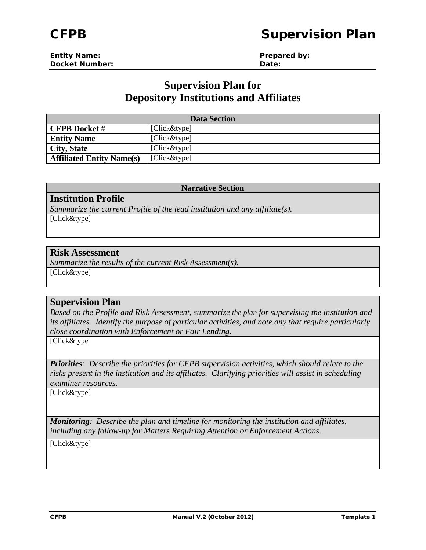# CFPB Supervision Plan

| <b>Entity Name:</b>   | Prepared by: |
|-----------------------|--------------|
| <b>Docket Number:</b> | Date:        |

## **Supervision Plan for Depository Institutions and Affiliates**

| <b>Data Section</b>              |              |
|----------------------------------|--------------|
| <b>CFPB</b> Docket #             | [Click&type] |
| <b>Entity Name</b>               | [Click&type] |
| <b>City, State</b>               | [Click&type] |
| <b>Affiliated Entity Name(s)</b> | [Click&type] |

#### **Narrative Section**

### **Institution Profile**

*Summarize the current Profile of the lead institution and any affiliate(s).* [Click&type]

## **Risk Assessment**

*Summarize the results of the current Risk Assessment(s).* [Click&type]

### **Supervision Plan**

*Based on the Profile and Risk Assessment, summarize the plan for supervising the institution and its affiliates. Identify the purpose of particular activities, and note any that require particularly close coordination with Enforcement or Fair Lending.*

[Click&type]

*Priorities: Describe the priorities for CFPB supervision activities, which should relate to the risks present in the institution and its affiliates. Clarifying priorities will assist in scheduling examiner resources.*

[Click&type]

*Monitoring: Describe the plan and timeline for monitoring the institution and affiliates, including any follow-up for Matters Requiring Attention or Enforcement Actions.*

[Click&type]